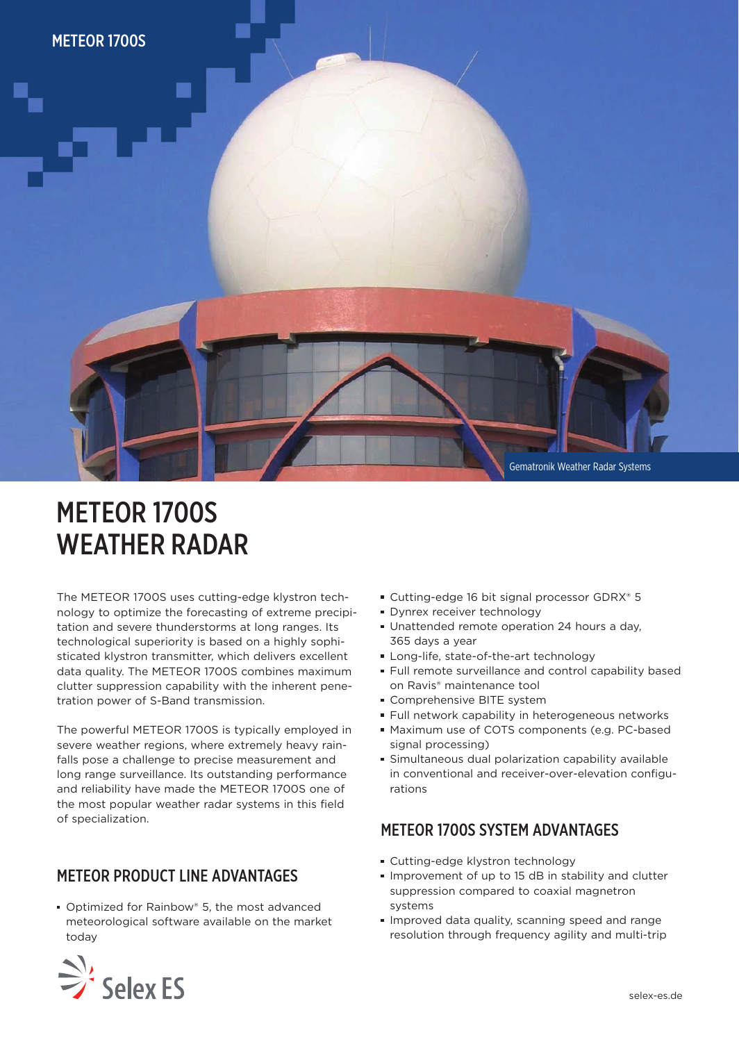

## METEOR 1700S WEATHER RADAR

The METEOR 1700S uses cutting-edge klystron technology to optimize the forecasting of extreme precipitation and severe thunderstorms at long ranges. Its technological superiority is based on a highly sophisticated klystron transmitter, which delivers excellent data quality. The METEOR 1700S combines maximum clutter suppression capability with the inherent penetration power of S-Band transmission.

The powerful METEOR 1700S is typically employed in severe weather regions, where extremely heavy rainfalls pose a challenge to precise measurement and long range surveillance. Its outstanding performance and reliability have made the METEOR 1700S one of the most popular weather radar systems in this field of specialization.

## METEOR PRODUCT LINE ADVANTAGES

■ Optimized for Rainbow® 5, the most advanced meteorological software available on the market today

- Cutting-edge 16 bit signal processor GDRX® 5
- **Dynrex receiver technology**
- Unattended remote operation 24 hours a day, 365 days a year
- Long-life, state-of-the-art technology
- Full remote surveillance and control capability based on Ravis® maintenance tool
- **Comprehensive BITE system**
- **Full network capability in heterogeneous networks**
- Maximum use of COTS components (e.g. PC-based signal processing)
- Simultaneous dual polarization capability available in conventional and receiver-over-elevation configurations

## METEOR 1700S SYSTEM ADVANTAGES

- Cutting-edge klystron technology
- Improvement of up to 15 dB in stability and clutter suppression compared to coaxial magnetron systems
- Improved data quality, scanning speed and range resolution through frequency agility and multi-trip